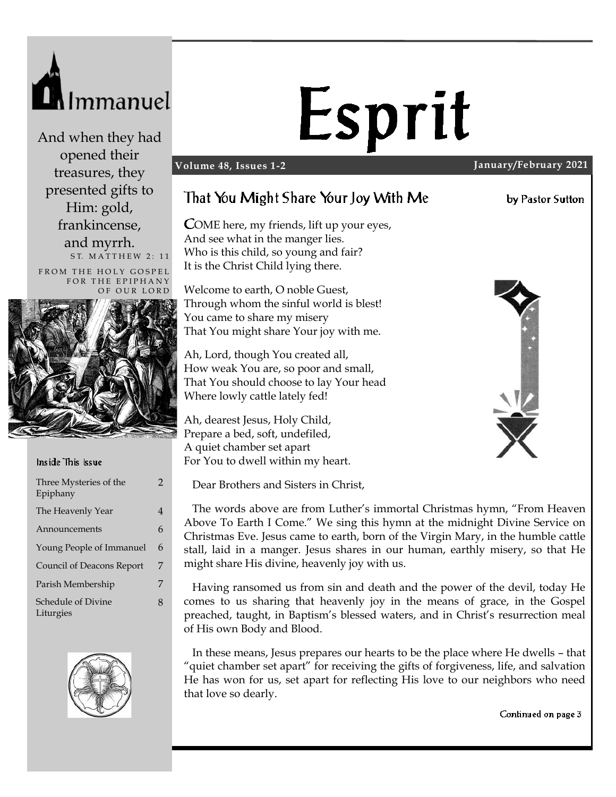

And when they had opened their treasures, they presented gifts to Him: gold, frankincense, and myrrh. ST. MATTHEW 2: 11

FROM THE HOLY GOSPEL FOR THE EPIPHANY



#### Inside This Issue

| Three Mysteries of the<br>Epiphany | 2 |
|------------------------------------|---|
| The Heavenly Year                  | 4 |
| Announcements                      | 6 |
| Young People of Immanuel           | 6 |
| Council of Deacons Report          | 7 |
| Parish Membership                  | 7 |
| Schedule of Divine<br>Liturgies    | 8 |



# Esprit

#### **Volume 48, Issues 1-2 January/February 2021**

## That You Might Share Your Joy With Me

OME here, my friends, lift up your eyes, And see what in the manger lies. Who is this child, so young and fair? It is the Christ Child lying there.

Welcome to earth, O noble Guest, Through whom the sinful world is blest! You came to share my misery That You might share Your joy with me.

Ah, Lord, though You created all, How weak You are, so poor and small, That You should choose to lay Your head Where lowly cattle lately fed!

Ah, dearest Jesus, Holy Child, Prepare a bed, soft, undefiled, A quiet chamber set apart For You to dwell within my heart.

Dear Brothers and Sisters in Christ,

 The words above are from Luther's immortal Christmas hymn, "From Heaven Above To Earth I Come." We sing this hymn at the midnight Divine Service on Christmas Eve. Jesus came to earth, born of the Virgin Mary, in the humble cattle stall, laid in a manger. Jesus shares in our human, earthly misery, so that He might share His divine, heavenly joy with us.

 Having ransomed us from sin and death and the power of the devil, today He comes to us sharing that heavenly joy in the means of grace, in the Gospel preached, taught, in Baptism's blessed waters, and in Christ's resurrection meal of His own Body and Blood.

 In these means, Jesus prepares our hearts to be the place where He dwells – that "quiet chamber set apart" for receiving the gifts of forgiveness, life, and salvation He has won for us, set apart for reflecting His love to our neighbors who need that love so dearly.

Continued on page 3



by Pastor Sutton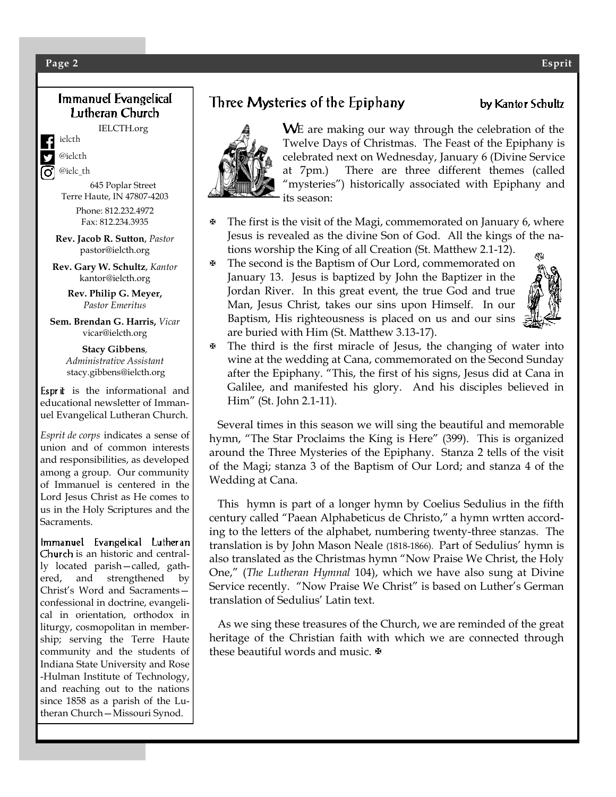#### **Page 2 Esprit**

#### Immanuel Evangelical Lutheran Church

IELCTH.org

ielcth

@ielcth @ielc\_th

645 Poplar Street Terre Haute, IN 47807-4203

> Phone: 812.232.4972 Fax: 812.234.3935

**Rev. Jacob R. Sutton**, *Pastor* pastor@ielcth.org

**Rev. Gary W. Schultz**, *Kantor* kantor@ielcth.org

> **Rev. Philip G. Meyer,** *Pastor Emeritus*

**Sem. Brendan G. Harris,** *Vicar* vicar@ielcth.org

> **Stacy Gibbens***, Administrative Assistant* stacy.gibbens@ielcth.org

Esprit is the informational and educational newsletter of Immanuel Evangelical Lutheran Church.

*Esprit de corps* indicates a sense of union and of common interests and responsibilities, as developed among a group. Our community of Immanuel is centered in the Lord Jesus Christ as He comes to us in the Holy Scriptures and the Sacraments.

Immanuel Evangelical Lutheran Church is an historic and centrally located parish—called, gathered, and strengthened by Christ's Word and Sacraments confessional in doctrine, evangelical in orientation, orthodox in liturgy, cosmopolitan in membership; serving the Terre Haute community and the students of Indiana State University and Rose -Hulman Institute of Technology, and reaching out to the nations since 1858 as a parish of the Lutheran Church—Missouri Synod.

# Three Mysteries of the Epiphany



- $\mathcal F$  The first is the visit of the Magi, commemorated on January 6, where Jesus is revealed as the divine Son of God. All the kings of the nations worship the King of all Creation (St. Matthew 2.1-12).
- The second is the Baptism of Our Lord, commemorated on January 13. Jesus is baptized by John the Baptizer in the Jordan River. In this great event, the true God and true Man, Jesus Christ, takes our sins upon Himself. In our Baptism, His righteousness is placed on us and our sins are buried with Him (St. Matthew 3.13-17).



 $\mathcal{F}$  The third is the first miracle of Jesus, the changing of water into wine at the wedding at Cana, commemorated on the Second Sunday after the Epiphany. "This, the first of his signs, Jesus did at Cana in Galilee, and manifested his glory. And his disciples believed in Him" (St. John 2.1-11).

 Several times in this season we will sing the beautiful and memorable hymn, "The Star Proclaims the King is Here" (399). This is organized around the Three Mysteries of the Epiphany. Stanza 2 tells of the visit of the Magi; stanza 3 of the Baptism of Our Lord; and stanza 4 of the Wedding at Cana.

 This hymn is part of a longer hymn by Coelius Sedulius in the fifth century called "Paean Alphabeticus de Christo," a hymn wrtten according to the letters of the alphabet, numbering twenty-three stanzas. The translation is by John Mason Neale (1818-1866). Part of Sedulius' hymn is also translated as the Christmas hymn "Now Praise We Christ, the Holy One," (*The Lutheran Hymnal* 104), which we have also sung at Divine Service recently. "Now Praise We Christ" is based on Luther's German translation of Sedulius' Latin text.

 As we sing these treasures of the Church, we are reminded of the great heritage of the Christian faith with which we are connected through these beautiful words and music.  $\mathbb{F}$ 

by Kantor Schultz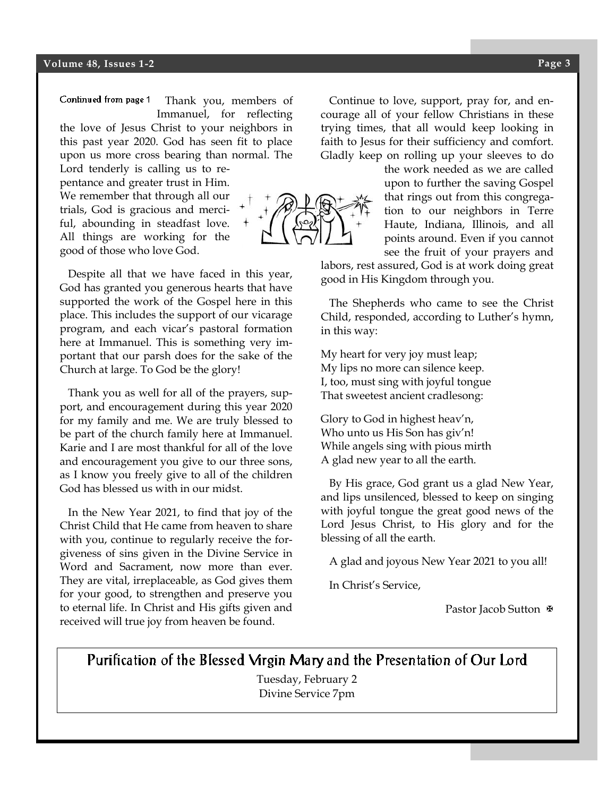Continued from page 1 Thank you, members of Immanuel, for reflecting the love of Jesus Christ to your neighbors in this past year 2020. God has seen fit to place upon us more cross bearing than normal. The

Lord tenderly is calling us to repentance and greater trust in Him. We remember that through all our trials, God is gracious and merciful, abounding in steadfast love. All things are working for the good of those who love God.

 Despite all that we have faced in this year, God has granted you generous hearts that have supported the work of the Gospel here in this place. This includes the support of our vicarage program, and each vicar's pastoral formation here at Immanuel. This is something very important that our parsh does for the sake of the Church at large. To God be the glory!

 Thank you as well for all of the prayers, support, and encouragement during this year 2020 for my family and me. We are truly blessed to be part of the church family here at Immanuel. Karie and I are most thankful for all of the love and encouragement you give to our three sons, as I know you freely give to all of the children God has blessed us with in our midst.

 In the New Year 2021, to find that joy of the Christ Child that He came from heaven to share with you, continue to regularly receive the forgiveness of sins given in the Divine Service in Word and Sacrament, now more than ever. They are vital, irreplaceable, as God gives them for your good, to strengthen and preserve you to eternal life. In Christ and His gifts given and received will true joy from heaven be found.

 Continue to love, support, pray for, and encourage all of your fellow Christians in these trying times, that all would keep looking in faith to Jesus for their sufficiency and comfort. Gladly keep on rolling up your sleeves to do

> the work needed as we are called upon to further the saving Gospel that rings out from this congregation to our neighbors in Terre Haute, Indiana, Illinois, and all points around. Even if you cannot see the fruit of your prayers and

labors, rest assured, God is at work doing great good in His Kingdom through you.

 The Shepherds who came to see the Christ Child, responded, according to Luther's hymn, in this way:

My heart for very joy must leap; My lips no more can silence keep. I, too, must sing with joyful tongue That sweetest ancient cradlesong:

Glory to God in highest heav'n, Who unto us His Son has giv'n! While angels sing with pious mirth A glad new year to all the earth.

 By His grace, God grant us a glad New Year, and lips unsilenced, blessed to keep on singing with joyful tongue the great good news of the Lord Jesus Christ, to His glory and for the blessing of all the earth.

A glad and joyous New Year 2021 to you all!

In Christ's Service,

Pastor Jacob Sutton  $\Phi$ 

#### Purification of the Blessed Virgin Mary and the Presentation of Our Lord

Tuesday, February 2 Divine Service 7pm

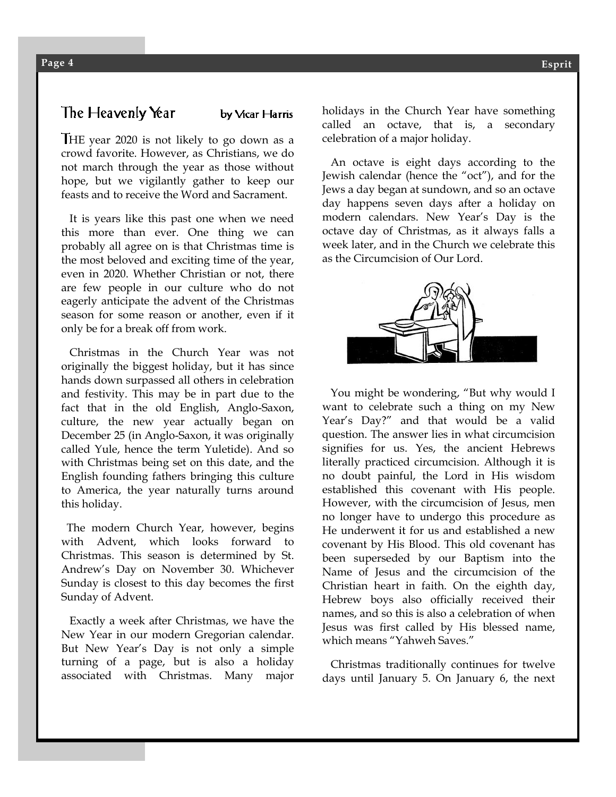## The Heavenly Year

by Vicar Harris

HE year 2020 is not likely to go down as a crowd favorite. However, as Christians, we do not march through the year as those without hope, but we vigilantly gather to keep our feasts and to receive the Word and Sacrament.

 It is years like this past one when we need this more than ever. One thing we can probably all agree on is that Christmas time is the most beloved and exciting time of the year, even in 2020. Whether Christian or not, there are few people in our culture who do not eagerly anticipate the advent of the Christmas season for some reason or another, even if it only be for a break off from work.

 Christmas in the Church Year was not originally the biggest holiday, but it has since hands down surpassed all others in celebration and festivity. This may be in part due to the fact that in the old English, Anglo-Saxon, culture, the new year actually began on December 25 (in Anglo-Saxon, it was originally called Yule, hence the term Yuletide). And so with Christmas being set on this date, and the English founding fathers bringing this culture to America, the year naturally turns around this holiday.

 The modern Church Year, however, begins with Advent, which looks forward to Christmas. This season is determined by St. Andrew's Day on November 30. Whichever Sunday is closest to this day becomes the first Sunday of Advent.

 Exactly a week after Christmas, we have the New Year in our modern Gregorian calendar. But New Year's Day is not only a simple turning of a page, but is also a holiday associated with Christmas. Many major holidays in the Church Year have something called an octave, that is, a secondary celebration of a major holiday.

 An octave is eight days according to the Jewish calendar (hence the "oct"), and for the Jews a day began at sundown, and so an octave day happens seven days after a holiday on modern calendars. New Year's Day is the octave day of Christmas, as it always falls a week later, and in the Church we celebrate this as the Circumcision of Our Lord.



 You might be wondering, "But why would I want to celebrate such a thing on my New Year's Day?" and that would be a valid question. The answer lies in what circumcision signifies for us. Yes, the ancient Hebrews literally practiced circumcision. Although it is no doubt painful, the Lord in His wisdom established this covenant with His people. However, with the circumcision of Jesus, men no longer have to undergo this procedure as He underwent it for us and established a new covenant by His Blood. This old covenant has been superseded by our Baptism into the Name of Jesus and the circumcision of the Christian heart in faith. On the eighth day, Hebrew boys also officially received their names, and so this is also a celebration of when Jesus was first called by His blessed name, which means "Yahweh Saves."

 Christmas traditionally continues for twelve days until January 5. On January 6, the next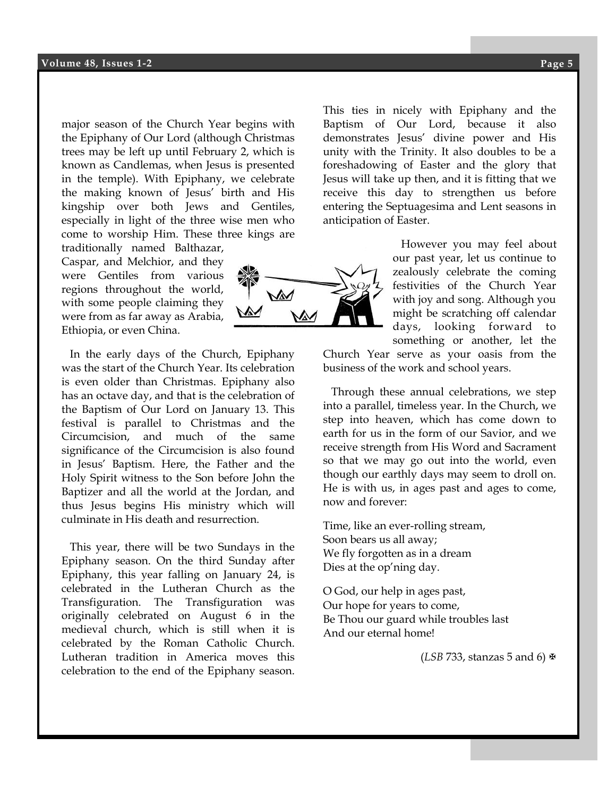major season of the Church Year begins with the Epiphany of Our Lord (although Christmas trees may be left up until February 2, which is known as Candlemas, when Jesus is presented in the temple). With Epiphany, we celebrate the making known of Jesus' birth and His kingship over both Jews and Gentiles, especially in light of the three wise men who come to worship Him. These three kings are

traditionally named Balthazar, Caspar, and Melchior, and they were Gentiles from various regions throughout the world, with some people claiming they were from as far away as Arabia, Ethiopia, or even China.

 In the early days of the Church, Epiphany was the start of the Church Year. Its celebration is even older than Christmas. Epiphany also has an octave day, and that is the celebration of the Baptism of Our Lord on January 13. This festival is parallel to Christmas and the Circumcision, and much of the same significance of the Circumcision is also found in Jesus' Baptism. Here, the Father and the Holy Spirit witness to the Son before John the Baptizer and all the world at the Jordan, and thus Jesus begins His ministry which will culminate in His death and resurrection.

 This year, there will be two Sundays in the Epiphany season. On the third Sunday after Epiphany, this year falling on January 24, is celebrated in the Lutheran Church as the Transfiguration. The Transfiguration was originally celebrated on August 6 in the medieval church, which is still when it is celebrated by the Roman Catholic Church. Lutheran tradition in America moves this celebration to the end of the Epiphany season.

**Esprit** demonstrates Jesus' divine power and His This ties in nicely with Epiphany and the Baptism of Our Lord, because it also unity with the Trinity. It also doubles to be a foreshadowing of Easter and the glory that Jesus will take up then, and it is fitting that we receive this day to strengthen us before entering the Septuagesima and Lent seasons in anticipation of Easter.

> However you may feel about our past year, let us continue to zealously celebrate the coming festivities of the Church Year with joy and song. Although you might be scratching off calendar days, looking forward to something or another, let the

Church Year serve as your oasis from the business of the work and school years.

 Through these annual celebrations, we step into a parallel, timeless year. In the Church, we step into heaven, which has come down to earth for us in the form of our Savior, and we receive strength from His Word and Sacrament so that we may go out into the world, even though our earthly days may seem to droll on. He is with us, in ages past and ages to come, now and forever:

Time, like an ever-rolling stream, Soon bears us all away; We fly forgotten as in a dream Dies at the op'ning day.

O God, our help in ages past, Our hope for years to come, Be Thou our guard while troubles last And our eternal home!

(*LSB* 733, stanzas 5 and 6)

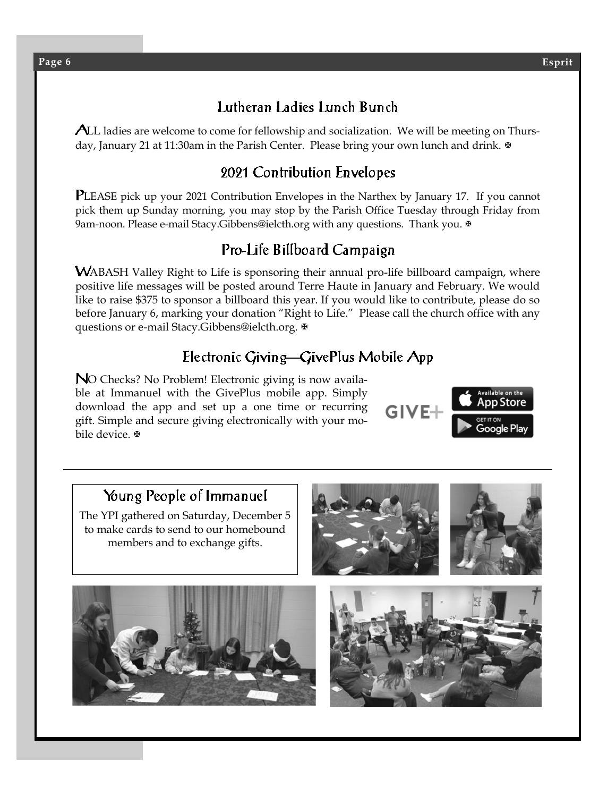# Lutheran Ladies Lunch Bunch

ALL ladies are welcome to come for fellowship and socialization. We will be meeting on Thursday, January 21 at 11:30am in the Parish Center. Please bring your own lunch and drink.

# 2021 Contribution Envelopes

PLEASE pick up your 2021 Contribution Envelopes in the Narthex by January 17. If you cannot pick them up Sunday morning, you may stop by the Parish Office Tuesday through Friday from 9am-noon. Please e-mail [Stacy.Gibbens@ielcth.org](mailto:stacy.gibbens@ielcth.org) with any questions. Thank you.

# Pro-Life Billboard Campaign

WABASH Valley Right to Life is sponsoring their annual pro-life billboard campaign, where positive life messages will be posted around Terre Haute in January and February. We would like to raise \$375 to sponsor a billboard this year. If you would like to contribute, please do so before January 6, marking your donation "Right to Life." Please call the church office with any questions or e-mail Stacy.Gibbens@ielcth.org. ₩

# Electronic Giving-GivePlus Mobile App

NO Checks? No Problem! Electronic giving is now available at Immanuel with the GivePlus mobile app. Simply download the app and set up a one time or recurring gift. Simple and secure giving electronically with your mobile device. <sup>®</sup>



# Young People of Immanuel

The YPI gathered on Saturday, December 5 to make cards to send to our homebound members and to exchange gifts.





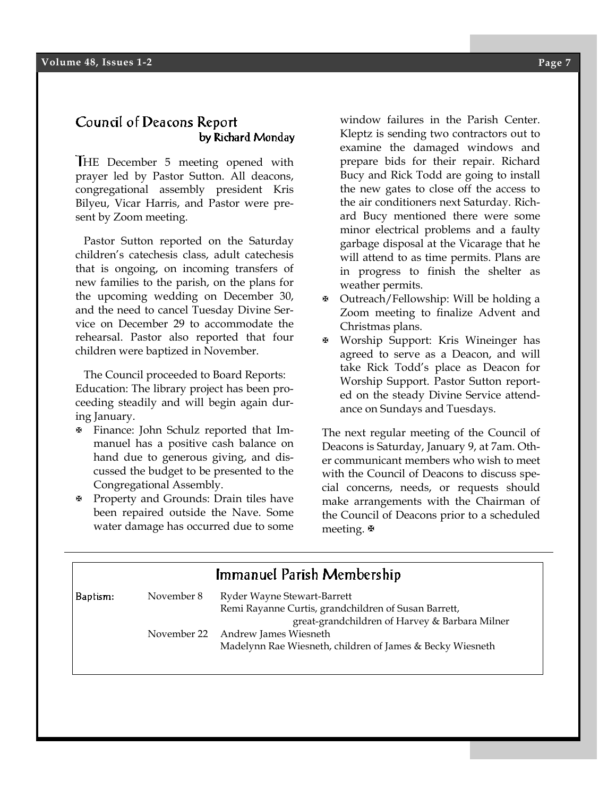#### Council of Deacons Report by Richard Monday

HE December 5 meeting opened with prayer led by Pastor Sutton. All deacons, congregational assembly president Kris Bilyeu, Vicar Harris, and Pastor were present by Zoom meeting.

 Pastor Sutton reported on the Saturday children's catechesis class, adult catechesis that is ongoing, on incoming transfers of new families to the parish, on the plans for the upcoming wedding on December 30, and the need to cancel Tuesday Divine Service on December 29 to accommodate the rehearsal. Pastor also reported that four children were baptized in November.

 The Council proceeded to Board Reports: Education: The library project has been proceeding steadily and will begin again during January.

- Finance: John Schulz reported that Immanuel has a positive cash balance on hand due to generous giving, and discussed the budget to be presented to the Congregational Assembly.
- Property and Grounds: Drain tiles have been repaired outside the Nave. Some water damage has occurred due to some

window failures in the Parish Center. Kleptz is sending two contractors out to examine the damaged windows and prepare bids for their repair. Richard Bucy and Rick Todd are going to install the new gates to close off the access to the air conditioners next Saturday. Richard Bucy mentioned there were some minor electrical problems and a faulty garbage disposal at the Vicarage that he will attend to as time permits. Plans are in progress to finish the shelter as weather permits.

- Outreach/Fellowship: Will be holding a Zoom meeting to finalize Advent and Christmas plans.
- Worship Support: Kris Wineinger has agreed to serve as a Deacon, and will take Rick Todd's place as Deacon for Worship Support. Pastor Sutton reported on the steady Divine Service attendance on Sundays and Tuesdays.

The next regular meeting of the Council of Deacons is Saturday, January 9, at 7am. Other communicant members who wish to meet with the Council of Deacons to discuss special concerns, needs, or requests should make arrangements with the Chairman of the Council of Deacons prior to a scheduled meeting. **⊕** 

| Immanuel Parish Membership |             |                                                           |  |  |  |
|----------------------------|-------------|-----------------------------------------------------------|--|--|--|
| Baptism:                   | November 8  | Ryder Wayne Stewart-Barrett                               |  |  |  |
|                            |             | Remi Rayanne Curtis, grandchildren of Susan Barrett,      |  |  |  |
|                            |             | great-grandchildren of Harvey & Barbara Milner            |  |  |  |
|                            | November 22 | Andrew James Wiesneth                                     |  |  |  |
|                            |             | Madelynn Rae Wiesneth, children of James & Becky Wiesneth |  |  |  |
|                            |             |                                                           |  |  |  |